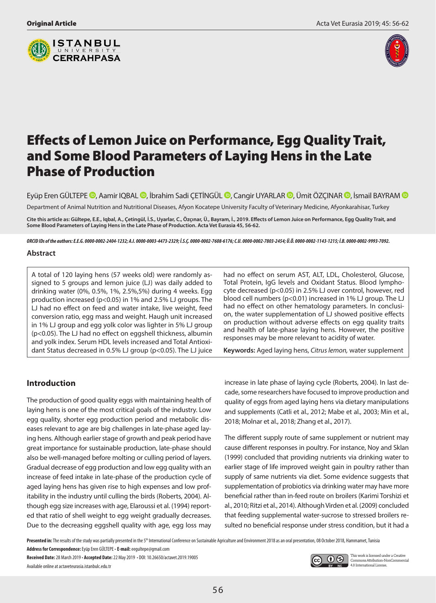



# Effects of Lemon Juice on Performance, Egg Quality Trait, and Some Blood Parameters of Laying Hens in the Late Phase of Production

EyüpEren GÜLTEPE **D**, Aamir IQBAL **D**, İbrahim Sadi ÇETİNGÜL **D**, Cangir UYARLAR D, Ümit ÖZÇINAR D, İsmail BAYRAM D Department of Animal Nutrition and Nutritional Diseases, Afyon Kocatepe University Faculty of Veterinary Medicine, Afyonkarahisar, Turkey

**Cite this article as: Gültepe, E.E., Iqbal, A., Çetingül, İ.S., Uyarlar, C., Özçınar, Ü., Bayram, İ., 2019. Effects of Lemon Juice on Performance, Egg Quality Trait, and Some Blood Parameters of Laying Hens in the Late Phase of Production. Acta Vet Eurasia 45, 56-62.**

*ORCID IDs of the authors: E.E.G. 0000-0002-2404-1232; A.I. 0000-0003-4473-2329; İ.S.Ç. 0000-0002-7608-6176; C.U. 0000-0002-7803-2454; Ü.Ö. 0000-0002-1143-1215; İ.B. 0000-0002-9993-7092.*

## **Abstract**

A total of 120 laying hens (57 weeks old) were randomly assigned to 5 groups and lemon juice (LJ) was daily added to drinking water (0%, 0.5%, 1%, 2.5%,5%) during 4 weeks. Egg production increased (p<0.05) in 1% and 2.5% LJ groups. The LJ had no effect on feed and water intake, live weight, feed conversion ratio, egg mass and weight. Haugh unit increased in 1% LJ group and egg yolk color was lighter in 5% LJ group (p<0.05). The LJ had no effect on eggshell thickness, albumin and yolk index. Serum HDL levels increased and Total Antioxidant Status decreased in 0.5% LJ group (p<0.05). The LJ juice

# **Introduction**

The production of good quality eggs with maintaining health of laying hens is one of the most critical goals of the industry. Low egg quality, shorter egg production period and metabolic diseases relevant to age are big challenges in late-phase aged laying hens. Although earlier stage of growth and peak period have great importance for sustainable production, late-phase should also be well-managed before molting or culling period of layers. Gradual decrease of egg production and low egg quality with an increase of feed intake in late-phase of the production cycle of aged laying hens has given rise to high expenses and low profitability in the industry until culling the birds (Roberts, 2004). Although egg size increases with age, Elaroussi et al. (1994) reported that ratio of shell weight to egg weight gradually decreases. Due to the decreasing eggshell quality with age, egg loss may had no effect on serum AST, ALT, LDL, Cholesterol, Glucose, Total Protein, IgG levels and Oxidant Status. Blood lymphocyte decreased (p<0.05) in 2.5% LJ over control, however, red blood cell numbers (p<0.01) increased in 1% LJ group. The LJ had no effect on other hematology parameters. In conclusion, the water supplementation of LJ showed positive effects on production without adverse effects on egg quality traits and health of late-phase laying hens. However, the positive responses may be more relevant to acidity of water.

**Keywords:** Aged laying hens, *Citrus lemon,* water supplement

increase in late phase of laying cycle (Roberts, 2004). In last decade, some researchers have focused to improve production and quality of eggs from aged laying hens via dietary manipulations and supplements (Catli et al., 2012; Mabe et al., 2003; Min et al., 2018; Molnar et al., 2018; Zhang et al., 2017).

The different supply route of same supplement or nutrient may cause different responses in poultry. For instance, Noy and Sklan (1999) concluded that providing nutrients via drinking water to earlier stage of life improved weight gain in poultry rather than supply of same nutrients via diet. Some evidence suggests that supplementation of probiotics via drinking water may have more beneficial rather than in-feed route on broilers (Karimi Torshizi et al., 2010; Ritzi et al., 2014). Although Virden et al. (2009) concluded that feeding supplemental water-sucrose to stressed broilers resulted no beneficial response under stress condition, but it had a

Presented in: The results of the study was partially presented in the 5<sup>th</sup> International Conference on Sustainable Agriculture and Environment 2018 as an oral presentation, 08 October 2018, Hammamet, Tunisia

**Address for Correspondence:** Eyüp Eren GÜLTEPE • **E-mail:** eegultepe@gmail.com

**Received Date:** 28 March 2019 • **Accepted Date:** 22 May 2019 • DOI: 10.26650/actavet.2019.19005 Available online at actaveteurasia.istanbulc.edu.tr



This work is licensed under a Creative Commons Attribution-NonCommercial 4.0 International License.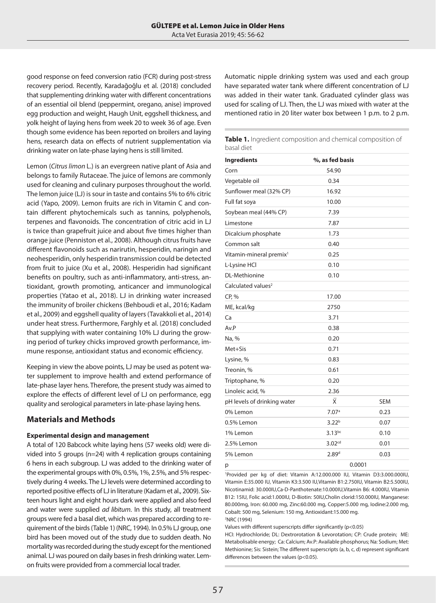good response on feed conversion ratio (FCR) during post-stress recovery period. Recently, Karadağoğlu et al. (2018) concluded that supplementing drinking water with different concentrations of an essential oil blend (peppermint, oregano, anise) improved egg production and weight, Haugh Unit, eggshell thickness, and yolk height of laying hens from week 20 to week 36 of age. Even though some evidence has been reported on broilers and laying hens, research data on effects of nutrient supplementation via drinking water on late-phase laying hens is still limited.

Lemon (*Citrus limon* L.) is an evergreen native plant of Asia and belongs to family Rutaceae. The juice of lemons are commonly used for cleaning and culinary purposes throughout the world. The lemon juice (LJ) is sour in taste and contains 5% to 6% citric acid (Yapo, 2009). Lemon fruits are rich in Vitamin C and contain different phytochemicals such as tannins, polyphenols, terpenes and flavonoids. The concentration of citric acid in LJ is twice than grapefruit juice and about five times higher than orange juice (Penniston et al., 2008). Although citrus fruits have different flavonoids such as narirutin, hesperidin, naringin and neohesperidin, only hesperidin transmission could be detected from fruit to juice (Xu et al., 2008). Hesperidin had significant benefits on poultry, such as anti-inflammatory, anti-stress, antioxidant, growth promoting, anticancer and immunological properties (Yatao et al., 2018). LJ in drinking water increased the immunity of broiler chickens (Behboudi et al., 2016; Kadam et al., 2009) and eggshell quality of layers (Tavakkoli et al., 2014) under heat stress. Furthermore, Farghly et al. (2018) concluded that supplying with water containing 10% LJ during the growing period of turkey chicks improved growth performance, immune response, antioxidant status and economic efficiency.

Keeping in view the above points, LJ may be used as potent water supplement to improve health and extend performance of late-phase layer hens. Therefore, the present study was aimed to explore the effects of different level of LJ on performance, egg quality and serological parameters in late-phase laying hens.

# **Materials and Methods**

#### **Experimental design and management**

A total of 120 Babcock white laying hens (57 weeks old) were divided into 5 groups (n=24) with 4 replication groups containing 6 hens in each subgroup. LJ was added to the drinking water of the experimental groups with 0%, 0.5%, 1%, 2.5%, and 5% respectively during 4 weeks. The LJ levels were determined according to reported positive effects of LJ in literature (Kadam et al., 2009). Sixteen hours light and eight hours dark were applied and also feed and water were supplied *ad libitum*. In this study, all treatment groups were fed a basal diet, which was prepared according to requirement of the birds (Table 1) (NRC, 1994). In 0.5% LJ group, one bird has been moved out of the study due to sudden death. No mortality was recorded during the study except for the mentioned animal. LJ was poured on daily bases in fresh drinking water. Lemon fruits were provided from a commercial local trader.

Automatic nipple drinking system was used and each group have separated water tank where different concentration of LJ was added in their water tank. Graduated cylinder glass was used for scaling of LJ. Then, the LJ was mixed with water at the mentioned ratio in 20 liter water box between 1 p.m. to 2 p.m.

| <b>Table 1.</b> Ingredient composition and chemical composition of |  |
|--------------------------------------------------------------------|--|
| basal diet                                                         |  |

| <b>Ingredients</b>                  | %, as fed basis    |            |
|-------------------------------------|--------------------|------------|
| Corn                                | 54.90              |            |
| Vegetable oil                       | 0.34               |            |
| Sunflower meal (32% CP)             | 16.92              |            |
| Full fat soya                       | 10.00              |            |
| Soybean meal (44% CP)               | 7.39               |            |
| Limestone                           | 7.87               |            |
| Dicalcium phosphate                 | 1.73               |            |
| Common salt                         | 0.40               |            |
| Vitamin-mineral premix <sup>1</sup> | 0.25               |            |
| L-Lysine HCl                        | 0.10               |            |
| <b>DL-Methionine</b>                | 0.10               |            |
| Calculated values <sup>2</sup>      |                    |            |
| CP, %                               | 17.00              |            |
| ME, kcal/kg                         | 2750               |            |
| Ca                                  | 3.71               |            |
| Av.P                                | 0.38               |            |
| Na, %                               | 0.20               |            |
| Met+Sis                             | 0.71               |            |
| Lysine, %                           | 0.83               |            |
| Treonin, %                          | 0.61               |            |
| Triptophane, %                      | 0.20               |            |
| Linoleic acid, %                    | 2.36               |            |
| pH levels of drinking water         | $\bar{x}$          | <b>SEM</b> |
| 0% Lemon                            | 7.07 <sup>a</sup>  | 0.23       |
| 0.5% Lemon                          | 3.22 <sup>b</sup>  | 0.07       |
| 1% Lemon                            | $3.13^{bc}$        | 0.10       |
| 2.5% Lemon                          | 3.02 <sup>cd</sup> | 0.01       |
| 5% Lemon                            | 2.89 <sup>d</sup>  | 0.03       |
| р                                   | 0.0001             |            |

1 Provided per kg of diet: Vitamin A:12.000.000 IU, Vitamin D3:3.000.000IU, Vitamin E:35.000 IU, Vitamin K3:3.500 IU,Vitamin B1:2.750IU, Vitamin B2:5.500IU, Nicotinamid: 30.000IU,Ca-D-Panthotenate:10.000IU,Vitamin B6: 4.000IU, Vitamin B12: 15IU, Folic acid:1.000IU, D-Biotin: 50IU,Cholin clorid:150.000IU, Manganese: 80.000mg, Iron: 60.000 mg, Zinc:60.000 mg, Copper:5.000 mg, Iodine:2.000 mg, Cobalt: 500 mg, Selenium: 150 mg, Antioxidant:15.000 mg. 2 NRC (1994)

Values with different superscripts differ significantly (p<0.05)

HCI: Hydrochloride; DL: Dextrorotation & Levorotation; CP: Crude protein; ME: Metabolisable energy; Ca: Calcium; Av.P: Available phosphorus; Na: Sodium; Met: Methionine; Sis: Sistein; The different superscripts (a, b, c, d) represent significant differences between the values (p<0.05).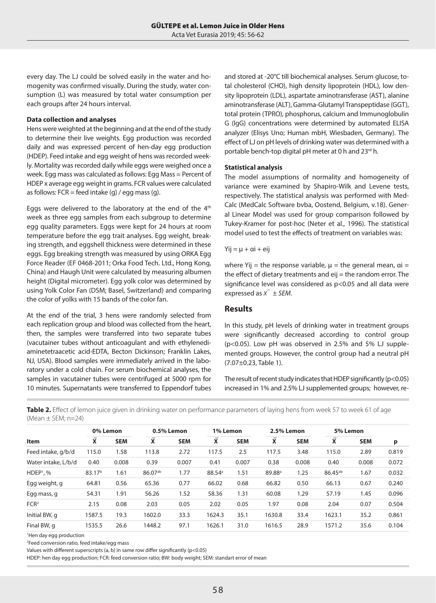every day. The LJ could be solved easily in the water and homogenity was confirmed visually. During the study, water consumption (L) was measured by total water consumption per each groups after 24 hours interval.

#### **Data collection and analyses**

Hens were weighted at the beginning and at the end of the study to determine their live weights. Egg production was recorded daily and was expressed percent of hen-day egg production (HDEP). Feed intake and egg weight of hens was recorded weekly. Mortality was recorded daily while eggs were weighed once a week. Egg mass was calculated as follows: Egg Mass = Percent of HDEP x average egg weight in grams. FCR values were calculated as follows:  $FCR = feed intake(q) / eqq mass(q)$ .

Eggs were delivered to the laboratory at the end of the 4<sup>th</sup> week as three egg samples from each subgroup to determine egg quality parameters. Eggs were kept for 24 hours at room temperature before the egg trait analyses. Egg weight, breaking strength, and eggshell thickness were determined in these eggs. Egg breaking strength was measured by using ORKA Egg Force Reader (EF 0468-2011; Orka Food Tech. Ltd., Hong Kong, China) and Haugh Unit were calculated by measuring albumen height (Digital micrometer). Egg yolk color was determined by using Yolk Color Fan (DSM; Basel, Switzerland) and comparing the color of yolks with 15 bands of the color fan.

At the end of the trial, 3 hens were randomly selected from each replication group and blood was collected from the heart, then, the samples were transferred into two separate tubes (vacutainer tubes without anticoagulant and with ethylenediaminetetraacetic acid-EDTA, Becton Dickinson; Franklin Lakes, NJ, USA). Blood samples were immediately arrived in the laboratory under a cold chain. For serum biochemical analyses, the samples in vacutainer tubes were centrifuged at 5000 rpm for 10 minutes. Supernatants were transferred to Eppendorf tubes and stored at -20°C till biochemical analyses. Serum glucose, total cholesterol (CHO), high density lipoprotein (HDL), low density lipoprotein (LDL), aspartate aminotransferase (AST), alanine aminotransferase (ALT), Gamma-Glutamyl Transpeptidase (GGT), total protein (TPRO), phosphorus, calcium and Immunoglobulin G (IgG) concentrations were determined by automated ELISA analyzer (Elisys Uno; Human mbH, Wiesbaden, Germany). The effect of LJ on pH levels of drinking water was determined with a portable bench-top digital pH meter at 0 h and 23rd h.

## **Statistical analysis**

The model assumptions of normality and homogeneity of variance were examined by Shapiro-Wilk and Levene tests, respectively. The statistical analysis was performed with Med-Calc (MedCalc Software bvba, Oostend, Belgium, v.18). General Linear Model was used for group comparison followed by Tukey-Kramer for post-hoc (Neter et al., 1996). The statistical model used to test the effects of treatment on variables was:

#### $Y$ ij =  $\mu$  + αi + eij

where Yij = the response variable,  $\mu$  = the general mean,  $\alpha$ i = the effect of dietary treatments and eij = the random error. The significance level was considered as p<0.05 and all data were expressed as  $\overline{X}$   $\pm$  *SEM*.

## **Results**

In this study, pH levels of drinking water in treatment groups were significantly decreased according to control group (p<0.05). Low pH was observed in 2.5% and 5% LJ supplemented groups. However, the control group had a neutral pH (7.07±0.23, Table 1).

The result of recent study indicates that HDEP significantly ( $p<0.05$ ) increased in 1% and 2.5% LJ supplemented groups; however, re-

**Table 2.** Effect of lemon juice given in drinking water on performance parameters of laying hens from week 57 to week 61 of age  $(Mean \pm SEM: n=24)$ 

| <b>Item</b>         | 0% Lemon           |            | 0.5% Lemon              |            | 1% Lemon                |            | 2.5% Lemon         |            | 5% Lemon                |            |       |
|---------------------|--------------------|------------|-------------------------|------------|-------------------------|------------|--------------------|------------|-------------------------|------------|-------|
|                     | X                  | <b>SEM</b> | $\overline{\mathbf{x}}$ | <b>SEM</b> | $\overline{\mathbf{x}}$ | <b>SEM</b> | X                  | <b>SEM</b> | $\overline{\mathbf{x}}$ | <b>SEM</b> | p     |
| Feed intake, g/b/d  | 115.0              | 1.58       | 113.8                   | 2.72       | 117.5                   | 2.5        | 117.5              | 3.48       | 115.0                   | 2.89       | 0.819 |
| Water intake, L/b/d | 0.40               | 0.008      | 0.39                    | 0.007      | 0.41                    | 0.007      | 0.38               | 0.008      | 0.40                    | 0.008      | 0.072 |
| $HDEF1$ , %         | 83.17 <sup>b</sup> | 1.61       | $86.07^{ab}$            | 1.77       | 88.54 <sup>a</sup>      | 1.51       | 89.88 <sup>a</sup> | 1.25       | 86.45 <sup>ab</sup>     | 1.67       | 0.032 |
| Egg weight, g       | 64.81              | 0.56       | 65.36                   | 0.77       | 66.02                   | 0.68       | 66.82              | 0.50       | 66.13                   | 0.67       | 0.240 |
| Egg mass, g         | 54.31              | 1.91       | 56.26                   | 1.52       | 58.36                   | 1.31       | 60.08              | 1.29       | 57.19                   | 1.45       | 0.096 |
| FCR <sup>2</sup>    | 2.15               | 0.08       | 2.03                    | 0.05       | 2.02                    | 0.05       | 1.97               | 0.08       | 2.04                    | 0.07       | 0.504 |
| Initial BW, q       | 1587.5             | 19.3       | 1602.0                  | 33.3       | 1624.3                  | 35.1       | 1630.8             | 33.4       | 1623.1                  | 35.2       | 0.861 |
| Final BW, q         | 1535.5             | 26.6       | 1448.2                  | 97.1       | 1626.1                  | 31.0       | 1616.5             | 28.9       | 1571.2                  | 35.6       | 0.104 |

1 Hen day egg production

2 Feed conversion ratio, feed intake/egg mass

Values with different superscripts (a, b) in same row differ significantly ( $p$ <0.05)

HDEP: hen day egg production; FCR: feed conversion ratio; BW: body weight; SEM: standart error of mean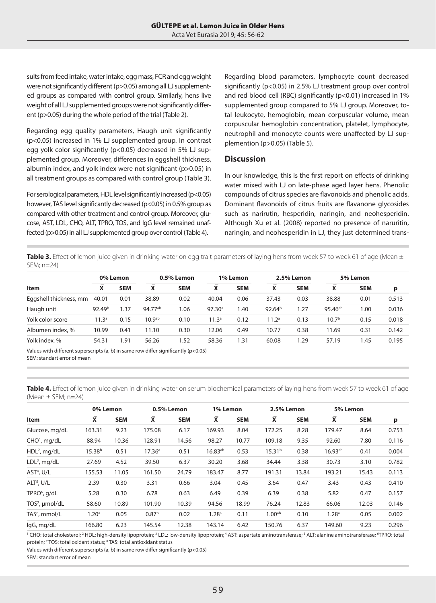sults from feed intake, water intake, egg mass, FCR and egg weight were not significantly different (p>0.05) among all LJ supplemented groups as compared with control group. Similarly, hens live weight of all LJ supplemented groups were not significantly different (p>0.05) during the whole period of the trial (Table 2).

Regarding egg quality parameters, Haugh unit significantly (p<0.05) increased in 1% LJ supplemented group. In contrast egg yolk color significantly (p<0.05) decreased in 5% LJ supplemented group. Moreover, differences in eggshell thickness, albumin index, and yolk index were not significant (p>0.05) in all treatment groups as compared with control group (Table 3).

For serological parameters, HDL level significantly increased (p<0.05) however, TAS level significantly decreased (p<0.05) in 0.5% group as compared with other treatment and control group. Moreover, glucose, AST, LDL, CHO, ALT, TPRO, TOS, and IgG level remained unaffected (p>0.05) in all LJ supplemented group over control (Table 4).

Regarding blood parameters, lymphocyte count decreased significantly (p<0.05) in 2.5% LJ treatment group over control and red blood cell (RBC) significantly (p<0.01) increased in 1% supplemented group compared to 5% LJ group. Moreover, total leukocyte, hemoglobin, mean corpuscular volume, mean corpuscular hemoglobin concentration, platelet, lymphocyte, neutrophil and monocyte counts were unaffected by LJ supplemention (p>0.05) (Table 5).

## **Discussion**

In our knowledge, this is the first report on effects of drinking water mixed with LJ on late-phase aged layer hens. Phenolic compounds of citrus species are flavonoids and phenolic acids. Dominant flavonoids of citrus fruits are flavanone glycosides such as narirutin, hesperidin, naringin, and neohesperidin. Although Xu et al. (2008) reported no presence of naruritin, naringin, and neohesperidin in LJ, they just determined trans-

Table 3. Effect of lemon juice given in drinking water on egg trait parameters of laying hens from week 57 to week 61 of age (Mean  $\pm$ SEM; n=24)

| <b>Item</b>                                                                                                                       | 0% Lemon           |            | 0.5% Lemon         |            | 1% Lemon           |            | 2.5% Lemon         |            | 5% Lemon          |            |       |  |
|-----------------------------------------------------------------------------------------------------------------------------------|--------------------|------------|--------------------|------------|--------------------|------------|--------------------|------------|-------------------|------------|-------|--|
|                                                                                                                                   | x                  | <b>SEM</b> | X                  | <b>SEM</b> | x                  | <b>SEM</b> | X                  | <b>SEM</b> | x                 | <b>SEM</b> | р     |  |
| Eggshell thickness, mm                                                                                                            | 40.01              | 0.01       | 38.89              | 0.02       | 40.04              | 0.06       | 37.43              | 0.03       | 38.88             | 0.01       | 0.513 |  |
| Haugh unit                                                                                                                        | 92.49 <sup>b</sup> | 1.37       | 94.77ab            | 1.06       | 97.30 <sup>a</sup> | .40        | 92.64 <sup>b</sup> | 1.27       | $95.46^{ab}$      | 1.00       | 0.036 |  |
| Yolk color score                                                                                                                  | 11.3 <sup>a</sup>  | 0.15       | 10.9 <sup>ab</sup> | 0.10       | 11.3 <sup>a</sup>  | 0.12       | 11.2 <sup>a</sup>  | 0.13       | 10.7 <sup>b</sup> | 0.15       | 0.018 |  |
| Albumen index, %                                                                                                                  | 10.99              | 0.41       | 11.10              | 0.30       | 12.06              | 0.49       | 10.77              | 0.38       | 11.69             | 0.31       | 0.142 |  |
| Yolk index, %                                                                                                                     | 54.31              | 91.،       | 56.26              | 1.52       | 58.36              | l .31      | 60.08              | 1.29       | 57.19             | 1.45       | 0.195 |  |
| $\mathcal{M}$ . In the second contract of the second contract $\mathcal{M}$ and $\mathcal{M}$ and $\mathcal{M}$ and $\mathcal{M}$ |                    |            |                    |            |                    |            |                    |            |                   |            |       |  |

Values with different superscripts (a, b) in same row differ significantly (p<0.05) SEM: standart error of mean

**Table 4.** Effect of lemon juice given in drinking water on serum biochemical parameters of laying hens from week 57 to week 61 of age (Mean  $\pm$  SEM; n=24)

| <b>Item</b>               | 0% Lemon           |            | 0.5% Lemon              |            | 1% Lemon          |            | 2.5% Lemon         |            | 5% Lemon          |            |       |
|---------------------------|--------------------|------------|-------------------------|------------|-------------------|------------|--------------------|------------|-------------------|------------|-------|
|                           | X                  | <b>SEM</b> | $\overline{\mathbf{x}}$ | <b>SEM</b> | X                 | <b>SEM</b> | X                  | <b>SEM</b> | X                 | <b>SEM</b> | p     |
| Glucose, mg/dL            | 163.31             | 9.23       | 175.08                  | 6.17       | 169.93            | 8.04       | 172.25             | 8.28       | 179.47            | 8.64       | 0.753 |
| CHO <sup>1</sup> , mg/dL  | 88.94              | 10.36      | 128.91                  | 14.56      | 98.27             | 10.77      | 109.18             | 9.35       | 92.60             | 7.80       | 0.116 |
| $HDL2$ , mg/dL            | 15.38 <sup>b</sup> | 0.51       | 17.36 <sup>a</sup>      | 0.51       | $16.83^{ab}$      | 0.53       | 15.31 <sup>b</sup> | 0.38       | $16.93^{ab}$      | 0.41       | 0.004 |
| $LDL3$ , mg/dL            | 27.69              | 4.52       | 39.50                   | 6.37       | 30.20             | 3.68       | 34.44              | 3.38       | 30.73             | 3.10       | 0.782 |
| AST <sup>4</sup> , U/L    | 155.53             | 11.05      | 161.50                  | 24.79      | 183.47            | 8.77       | 191.31             | 13.84      | 193.21            | 15.43      | 0.113 |
| ALT <sup>5</sup> , U/L    | 2.39               | 0.30       | 3.31                    | 0.66       | 3.04              | 0.45       | 3.64               | 0.47       | 3.43              | 0.43       | 0.410 |
| TPRO <sup>6</sup> , g/dL  | 5.28               | 0.30       | 6.78                    | 0.63       | 6.49              | 0.39       | 6.39               | 0.38       | 5.82              | 0.47       | 0.157 |
| TOS7, µmol/dL             | 58.60              | 10.89      | 101.90                  | 10.39      | 94.56             | 18.99      | 76.24              | 12.83      | 66.06             | 12.03      | 0.146 |
| TAS <sup>8</sup> , mmol/L | 1.20 <sup>a</sup>  | 0.05       | 0.87 <sup>b</sup>       | 0.02       | 1.28 <sup>a</sup> | 0.11       | 1.00 <sub>ab</sub> | 0.10       | 1.28 <sup>a</sup> | 0.05       | 0.002 |
| lgG, mg/dL                | 166.80             | 6.23       | 145.54                  | 12.38      | 143.14            | 6.42       | 150.76             | 6.37       | 149.60            | 9.23       | 0.296 |

' CHO: total cholesterol; <sup>2</sup> HDL: high-density lipoprotein; <sup>3</sup> LDL: low-density lipoprotein; <sup>4</sup> AST: aspartate aminotransferase; <sup>5</sup> ALT: alanine aminotransferase; <sup>6</sup>TPRO: total protein; 7 TOS: total oxidant status; <sup>8</sup> TAS: total antioxidant status

Values with different superscripts (a, b) in same row differ significantly ( $p$ <0.05)

SEM: standart error of mean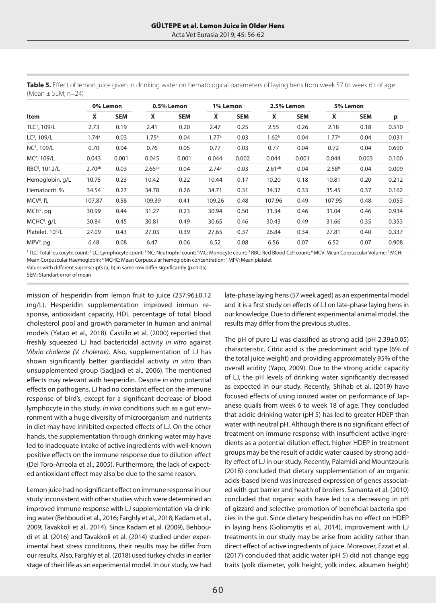| <b>Item</b>                  | 0% Lemon          |            | 0.5% Lemon         |            |                         | 1% Lemon   |                         | 2.5% Lemon |                   | 5% Lemon   |       |
|------------------------------|-------------------|------------|--------------------|------------|-------------------------|------------|-------------------------|------------|-------------------|------------|-------|
|                              | X                 | <b>SEM</b> | X                  | <b>SEM</b> | $\overline{\mathbf{x}}$ | <b>SEM</b> | $\overline{\mathbf{x}}$ | <b>SEM</b> | X                 | <b>SEM</b> | р     |
| TLC <sup>1</sup> , 109/L     | 2.73              | 0.19       | 2.41               | 0.20       | 2.47                    | 0.25       | 2.55                    | 0.26       | 2.18              | 0.18       | 0.510 |
| $LC2$ , 109/L                | 1.74 <sup>a</sup> | 0.03       | 1.75 <sup>a</sup>  | 0.04       | 1.77a                   | 0.03       | 1.62 <sup>b</sup>       | 0.04       | 1.77a             | 0.04       | 0.031 |
| NC <sup>3</sup> , 109/L      | 0.70              | 0.04       | 0.76               | 0.05       | 0.77                    | 0.03       | 0.77                    | 0.04       | 0.72              | 0.04       | 0.690 |
| MC <sup>4</sup> , 109/L      | 0.043             | 0.001      | 0.045              | 0.001      | 0.044                   | 0.002      | 0.044                   | 0.001      | 0.044             | 0.003      | 0.100 |
| RBC <sup>5</sup> , 1012/L    | $2.70^{ab}$       | 0.03       | 2.66 <sup>ab</sup> | 0.04       | 2.74 <sup>a</sup>       | 0.03       | $2.61^{ab}$             | 0.04       | 2.58 <sup>b</sup> | 0.04       | 0.009 |
| Hemoglobin. g/L              | 10.75             | 0.23       | 10.42              | 0.22       | 10.44                   | 0.17       | 10.20                   | 0.18       | 10.81             | 0.20       | 0.212 |
| Hematocrit. %                | 34.54             | 0.27       | 34.78              | 0.26       | 34.71                   | 0.31       | 34.37                   | 0.33       | 35.45             | 0.37       | 0.162 |
| MCV <sup>6</sup> .fL         | 107.87            | 0.58       | 109.39             | 0.41       | 109.26                  | 0.48       | 107.96                  | 0.49       | 107.95            | 0.48       | 0.053 |
| MCH <sup>7</sup> . pg        | 30.99             | 0.44       | 31.27              | 0.23       | 30.94                   | 0.50       | 31.34                   | 0.46       | 31.04             | 0.46       | 0.934 |
| $MCHC8$ . g/L                | 30.84             | 0.45       | 30.81              | 0.49       | 30.65                   | 0.46       | 30.43                   | 0.49       | 31.66             | 0.35       | 0.353 |
| Platelet. 10 <sup>9</sup> /L | 27.09             | 0.43       | 27.03              | 0.39       | 27.65                   | 0.37       | 26.84                   | 0.34       | 27.81             | 0.40       | 0.337 |
| MPV <sup>9</sup> . pg        | 6.48              | 0.08       | 6.47               | 0.06       | 6.52                    | 0.08       | 6.56                    | 0.07       | 6.52              | 0.07       | 0.908 |

**Table 5.** Effect of lemon juice given in drinking water on hematological parameters of laying hens from week 57 to week 61 of age (Mean  $\pm$  SEM; n=24)

'TLC: Total leukocyte count; <sup>2</sup> LC: Lymphocyte count; <sup>3</sup> NC: Neutrophil count; <sup>4</sup> MC: Monocyte count; <sup>s</sup> RBC: Red Blood Cell count; <sup>6</sup> MCV: Mean Corpuscular Volume; <sup>7</sup> MCH: Mean Corpuscular Haemoglobin; <sup>8</sup> MCHC: Mean Corpuscular hemoglobin concentration; <sup>9</sup> MPV: Mean platelet

Values with different superscripts (a, b) in same row differ significantly ( $p$ <0.05)

SEM: Standart error of mean

mission of hesperidin from lemon fruit to juice (237.96±0.12 mg/L). Hesperidin supplementation improved immun response, antioxidant capacity, HDL percentage of total blood cholesterol pool and growth parameter in human and animal models (Yatao et al., 2018). Castillo et al. (2000) reported that freshly squeezed LJ had bactericidal activity *in vitro* against *Vibrio cholerae (V. cholerae)*. Also, supplementation of LJ has shown significantly better giardiacidal activity *in vitro* than unsupplemented group (Sadjjadi et al., 2006). The mentioned effects may relevant with hesperidin. Despite *in vitro* potential effects on pathogens, LJ had no constant effect on the immune response of bird's, except for a significant decrease of blood lymphocyte in this study. *In vivo* conditions such as a gut environment with a huge diversity of microorganism and nutrients in diet may have inhibited expected effects of LJ. On the other hands, the supplementation through drinking water may have led to inadequate intake of active ingredients with well-known positive effects on the immune response due to dilution effect (Del Toro-Arreola et al., 2005). Furthermore, the lack of expected antioxidant effect may also be due to the same reason.

Lemon juice had no significant effect on immune response in our study inconsistent with other studies which were determined an improved immune response with LJ supplementation via drinking water (Behboudi et al., 2016; Farghly et al., 2018; Kadam et al., 2009; Tavakkoli et al., 2014). Since Kadam et al. (2009), Behboudi et al. (2016) and Tavakkoli et al. (2014) studied under experimental heat stress conditions, their results may be differ from our results. Also, Farghly et al. (2018) used turkey chicks in earlier stage of their life as an experimental model. In our study, we had late-phase laying hens (57 week aged) as an experimental model and it is a first study on effects of LJ on late-phase laying hens in our knowledge. Due to different experimental animal model, the results may differ from the previous studies.

The pH of pure LJ was classified as strong acid (pH 2.39±0.05) characteristic. Citric acid is the predominant acid type (6% of the total juice weight) and providing approximately 95% of the overall acidity (Yapo, 2009). Due to the strong acidic capacity of LJ, the pH levels of drinking water significantly decreased as expected in our study. Recently, Shihab et al. (2019) have focused effects of using ionized water on performance of Japanese quails from week 6 to week 18 of age. They concluded that acidic drinking water (pH 5) has led to greater HDEP than water with neutral pH. Although there is no significant effect of treatment on immune response with insufficient active ingredients as a potential dilution effect, higher HDEP in treatment groups may be the result of acidic water caused by strong acidity effect of LJ in our study. Recently, Palamidi and Mountzouris (2018) concluded that dietary supplementation of an organic acids-based blend was increased expression of genes associated with gut barrier and health of broilers. Samanta et al. (2010) concluded that organic acids have led to a decreasing in pH of gizzard and selective promotion of beneficial bacteria species in the gut. Since dietary hesperidin has no effect on HDEP in laying hens (Goliomytis et al., 2014), improvement with LJ treatments in our study may be arise from acidity rather than direct effect of active ingredients of juice. Moreover, Ezzat et al. (2017) concluded that acidic water (pH 5) did not change egg traits (yolk diameter, yolk height, yolk index, albumen height)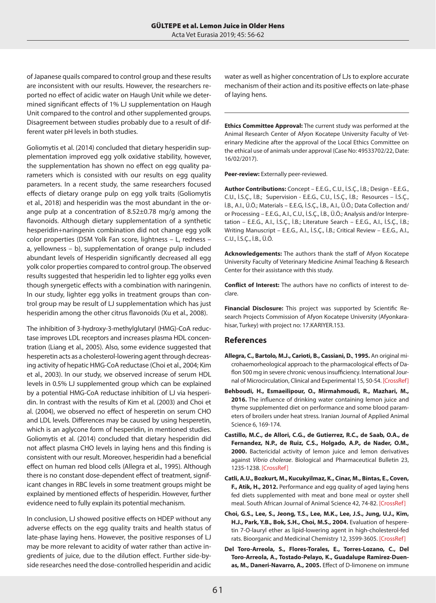of Japanese quails compared to control group and these results are inconsistent with our results. However, the researchers reported no effect of acidic water on Haugh Unit while we determined significant effects of 1% LJ supplementation on Haugh Unit compared to the control and other supplemented groups. Disagreement between studies probably due to a result of different water pH levels in both studies.

Goliomytis et al. (2014) concluded that dietary hesperidin supplementation improved egg yolk oxidative stability, however, the supplementation has shown no effect on egg quality parameters which is consisted with our results on egg quality parameters. In a recent study, the same researchers focused effects of dietary orange pulp on egg yolk traits (Goliomytis et al., 2018) and hesperidin was the most abundant in the orange pulp at a concentration of 8.52±0.78 mg/g among the flavonoids. Although dietary supplementation of a synthetic hesperidin+naringenin combination did not change egg yolk color properties (DSM Yolk Fan score, lightness – L, redness – a, yellowness – b), supplementation of orange pulp included abundant levels of Hesperidin significantly decreased all egg yolk color properties compared to control group. The observed results suggested that hesperidin led to lighter egg yolks even though synergetic effects with a combination with naringenin. In our study, lighter egg yolks in treatment groups than control group may be result of LJ supplementation which has just hesperidin among the other citrus flavonoids (Xu et al., 2008).

The inhibition of 3-hydroxy-3-methylglutaryl (HMG)-CoA reductase improves LDL receptors and increases plasma HDL concentration (Liang et al., 2005). Also, some evidence suggested that hesperetin acts as a cholesterol-lowering agent through decreasing activity of hepatic HMG-CoA reductase (Choi et al., 2004; Kim et al., 2003). In our study, we observed increase of serum HDL levels in 0.5% LJ supplemented group which can be explained by a potential HMG-CoA reductase inhibition of LJ via hesperidin. In contrast with the results of Kim et al. (2003) and Choi et al. (2004), we observed no effect of hesperetin on serum CHO and LDL levels. Differences may be caused by using hesperetin, which is an aglycone form of hesperidin, in mentioned studies. Goliomytis et al. (2014) concluded that dietary hesperidin did not affect plasma CHO levels in laying hens and this finding is consistent with our result. Moreover, hesperidin had a beneficial effect on human red blood cells (Allegra et al., 1995). Although there is no constant dose-dependent effect of treatment, significant changes in RBC levels in some treatment groups might be explained by mentioned effects of hesperidin. However, further evidence need to fully explain its potential mechanism.

In conclusion, LJ showed positive effects on HDEP without any adverse effects on the egg quality traits and health status of late-phase laying hens. However, the positive responses of LJ may be more relevant to acidity of water rather than active ingredients of juice, due to the dilution effect. Further side-byside researches need the dose-controlled hesperidin and acidic water as well as higher concentration of LJs to explore accurate mechanism of their action and its positive effects on late-phase of laying hens.

**Ethics Committee Approval:** The current study was performed at the Animal Research Center of Afyon Kocatepe University Faculty of Veterinary Medicine after the approval of the Local Ethics Committee on the ethical use of animals under approval (Case No: 49533702/22, Date: 16/02/2017).

**Peer-review:** Externally peer-reviewed.

**Author Contributions:** Concept – E.E.G., C.U., İ.S.Ç., İ.B.; Design - E.E.G., C.U., İ.S.Ç., İ.B.; Supervision - E.E.G., C.U., İ.S.Ç., İ.B.; Resources – İ.S.Ç., İ.B., A.I., Ü.Ö.; Materials – E.E.G, İ.S.Ç., İ.B., A.I., Ü.Ö.; Data Collection and/ or Processing – E.E.G., A.I., C.U., İ.S.Ç., İ.B., Ü.Ö.; Analysis and/or Interpretation – E.E.G., A.I., İ.S.Ç., İ.B.; Literature Search – E.E.G., A.I., İ.S.Ç., İ.B.; Writing Manuscript – E.E.G., A.I., İ.S.Ç., İ.B.; Critical Review – E.E.G., A.I., C.U., İ.S.Ç., İ.B., Ü.Ö.

**Acknowledgements:** The authors thank the staff of Afyon Kocatepe University Faculty of Veterinary Medicine Animal Teaching & Research Center for their assistance with this study.

**Conflict of Interest:** The authors have no conflicts of interest to declare.

**Financial Disclosure:** This project was supported by Scientific Research Projects Commission of Afyon Kocatepe University (Afyonkarahisar, Turkey) with project no: 17.KARIYER.153.

## **References**

- **Allegra, C., Bartolo, M.J., Carioti, B., Cassiani, D.**, **1995.** An original microhaemorheological approach to the pharmacological effects of Daflon 500 mg in severe chronic venous insufficiency. International Journal of Microcirculation, Clinical and Experimental 15, 50-54. [[CrossRef](https://doi.org/10.1159/000179096)]
- **Behboudi, H., Esmaeilipour, O., Mirmahmoudi, R., Mazhari, M., 2016.** The influence of drinking water containing lemon juice and thyme supplemented diet on performance and some blood parameters of broilers under heat stress*.* Iranian Journal of Applied Animal Science 6, 169-174.
- **Castillo, M.C., de Allori, C.G., de Gutierrez, R.C., de Saab, O.A., de Fernandez, N.P., de Ruiz, C.S., Holgado, A.P., de Nader, O.M., 2000.** Bactericidal activity of lemon juice and lemon derivatives against *Vibrio cholerae*. Biological and Pharmaceutical Bulletin 23, 1235-1238. [\[CrossRef\]](https://doi.org/10.1248/bpb.23.1235)
- **Catli, A.U., Bozkurt, M., Kucukyilmaz, K., Cinar, M., Bintas, E., Coven, F., Atik, H., 2012.** Performance and egg quality of aged laying hens fed diets supplemented with meat and bone meal or oyster shell meal. South African Journal of Animal Science 42, 74-82. [\[CrossRef](https://doi.org/10.4314/sajas.v42i1.9)]
- **Choi, G.S., Lee, S., Jeong, T.S., Lee, M.K., Lee, J.S., Jung, U.J., Kim, H.J., Park, Y.B., Bok, S.H., Choi, M.S., 2004.** Evaluation of hesperetin 7-O-lauryl ether as lipid-lowering agent in high-cholesterol-fed rats. Bioorganic and Medicinal Chemistry 12, 3599-3605. [\[CrossRef\]](https://doi.org/10.1016/j.bmc.2004.04.020)
- **Del Toro-Arreola, S., Flores-Torales, E., Torres-Lozano, C., Del Toro-Arreola, A., Tostado-Pelayo, K., Guadalupe Ramirez-Duenas, M., Daneri-Navarro, A., 2005.** Effect of D-limonene on immune